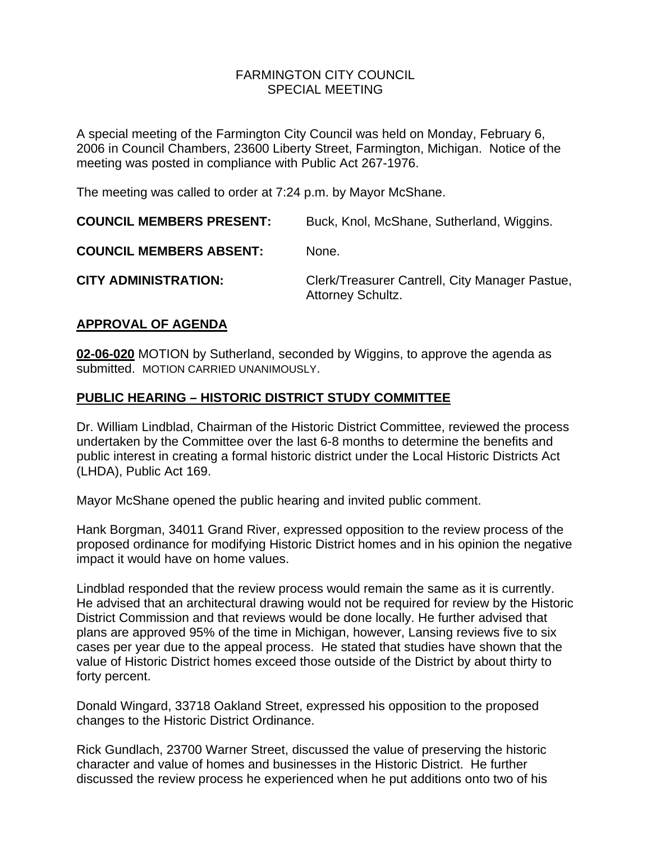#### FARMINGTON CITY COUNCILSPECIAL MEETING

A special meeting of the Farmington City Council was held on Monday, February 6, 2006 in Council Chambers, 23600 Liberty Street, Farmington, Michigan. Notice of the meeting was posted in compliance with Public Act 267-1976.

The meeting was called to order at 7:24 p.m. by Mayor McShane.

| <b>COUNCIL MEMBERS PRESENT:</b> | Buck, Knol, McShane, Sutherland, Wiggins.                                  |
|---------------------------------|----------------------------------------------------------------------------|
| <b>COUNCIL MEMBERS ABSENT:</b>  | None.                                                                      |
| <b>CITY ADMINISTRATION:</b>     | Clerk/Treasurer Cantrell, City Manager Pastue,<br><b>Attorney Schultz.</b> |

# **APPROVAL OF AGENDA**

**02-06-020** MOTION by Sutherland, seconded by Wiggins, to approve the agenda as submitted. MOTION CARRIED UNANIMOUSLY.

# **PUBLIC HEARING – HISTORIC DISTRICT STUDY COMMITTEE**

Dr. William Lindblad, Chairman of the Historic District Committee, reviewed the process undertaken by the Committee over the last 6-8 months to determine the benefits and public interest in creating a formal historic district under the Local Historic Districts Act (LHDA), Public Act 169.

Mayor McShane opened the public hearing and invited public comment.

Hank Borgman, 34011 Grand River, expressed opposition to the review process of the proposed ordinance for modifying Historic District homes and in his opinion the negative impact it would have on home values.

Lindblad responded that the review process would remain the same as it is currently. He advised that an architectural drawing would not be required for review by the Historic District Commission and that reviews would be done locally. He further advised that plans are approved 95% of the time in Michigan, however, Lansing reviews five to six cases per year due to the appeal process. He stated that studies have shown that the value of Historic District homes exceed those outside of the District by about thirty to forty percent.

Donald Wingard, 33718 Oakland Street, expressed his opposition to the proposed changes to the Historic District Ordinance.

Rick Gundlach, 23700 Warner Street, discussed the value of preserving the historic character and value of homes and businesses in the Historic District. He further discussed the review process he experienced when he put additions onto two of his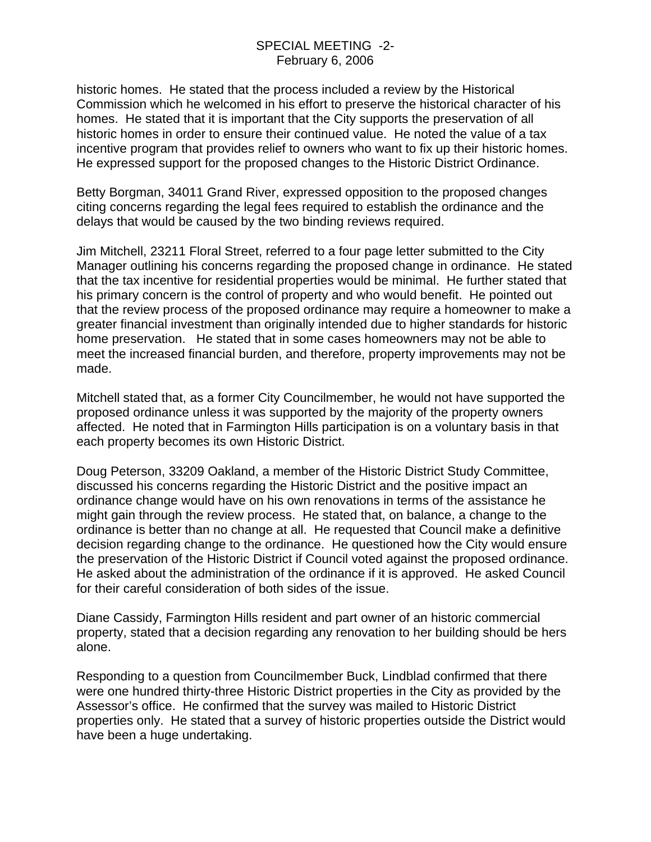historic homes. He stated that the process included a review by the Historical Commission which he welcomed in his effort to preserve the historical character of his homes. He stated that it is important that the City supports the preservation of all historic homes in order to ensure their continued value. He noted the value of a tax incentive program that provides relief to owners who want to fix up their historic homes. He expressed support for the proposed changes to the Historic District Ordinance.

Betty Borgman, 34011 Grand River, expressed opposition to the proposed changes citing concerns regarding the legal fees required to establish the ordinance and the delays that would be caused by the two binding reviews required.

Jim Mitchell, 23211 Floral Street, referred to a four page letter submitted to the City Manager outlining his concerns regarding the proposed change in ordinance. He stated that the tax incentive for residential properties would be minimal. He further stated that his primary concern is the control of property and who would benefit. He pointed out that the review process of the proposed ordinance may require a homeowner to make a greater financial investment than originally intended due to higher standards for historic home preservation. He stated that in some cases homeowners may not be able to meet the increased financial burden, and therefore, property improvements may not be made.

Mitchell stated that, as a former City Councilmember, he would not have supported the proposed ordinance unless it was supported by the majority of the property owners affected. He noted that in Farmington Hills participation is on a voluntary basis in that each property becomes its own Historic District.

Doug Peterson, 33209 Oakland, a member of the Historic District Study Committee, discussed his concerns regarding the Historic District and the positive impact an ordinance change would have on his own renovations in terms of the assistance he might gain through the review process. He stated that, on balance, a change to the ordinance is better than no change at all. He requested that Council make a definitive decision regarding change to the ordinance. He questioned how the City would ensure the preservation of the Historic District if Council voted against the proposed ordinance. He asked about the administration of the ordinance if it is approved. He asked Council for their careful consideration of both sides of the issue.

Diane Cassidy, Farmington Hills resident and part owner of an historic commercial property, stated that a decision regarding any renovation to her building should be hers alone.

Responding to a question from Councilmember Buck, Lindblad confirmed that there were one hundred thirty-three Historic District properties in the City as provided by the Assessor's office. He confirmed that the survey was mailed to Historic District properties only. He stated that a survey of historic properties outside the District would have been a huge undertaking.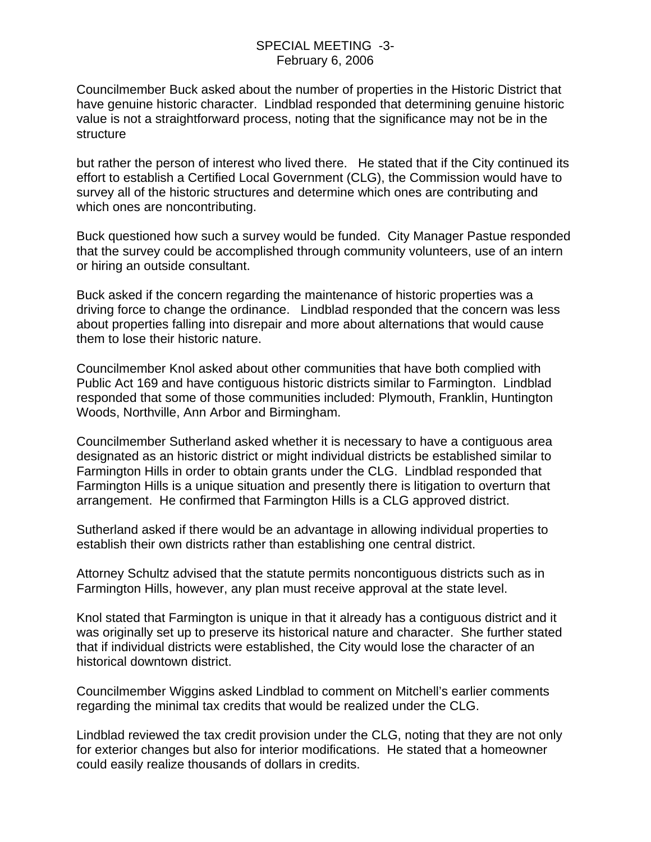## SPECIAL MEETING -3- February 6, 2006

Councilmember Buck asked about the number of properties in the Historic District that have genuine historic character. Lindblad responded that determining genuine historic value is not a straightforward process, noting that the significance may not be in the structure

but rather the person of interest who lived there. He stated that if the City continued its effort to establish a Certified Local Government (CLG), the Commission would have to survey all of the historic structures and determine which ones are contributing and which ones are noncontributing.

Buck questioned how such a survey would be funded. City Manager Pastue responded that the survey could be accomplished through community volunteers, use of an intern or hiring an outside consultant.

Buck asked if the concern regarding the maintenance of historic properties was a driving force to change the ordinance. Lindblad responded that the concern was less about properties falling into disrepair and more about alternations that would cause them to lose their historic nature.

Councilmember Knol asked about other communities that have both complied with Public Act 169 and have contiguous historic districts similar to Farmington. Lindblad responded that some of those communities included: Plymouth, Franklin, Huntington Woods, Northville, Ann Arbor and Birmingham.

Councilmember Sutherland asked whether it is necessary to have a contiguous area designated as an historic district or might individual districts be established similar to Farmington Hills in order to obtain grants under the CLG. Lindblad responded that Farmington Hills is a unique situation and presently there is litigation to overturn that arrangement. He confirmed that Farmington Hills is a CLG approved district.

Sutherland asked if there would be an advantage in allowing individual properties to establish their own districts rather than establishing one central district.

Attorney Schultz advised that the statute permits noncontiguous districts such as in Farmington Hills, however, any plan must receive approval at the state level.

Knol stated that Farmington is unique in that it already has a contiguous district and it was originally set up to preserve its historical nature and character. She further stated that if individual districts were established, the City would lose the character of an historical downtown district.

Councilmember Wiggins asked Lindblad to comment on Mitchell's earlier comments regarding the minimal tax credits that would be realized under the CLG.

Lindblad reviewed the tax credit provision under the CLG, noting that they are not only for exterior changes but also for interior modifications. He stated that a homeowner could easily realize thousands of dollars in credits.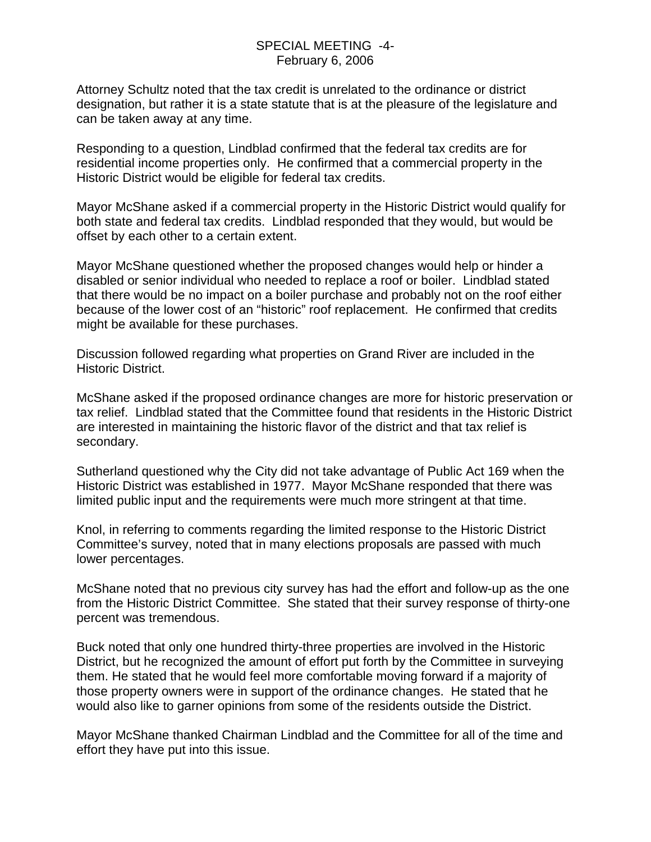### SPECIAL MEETING -4- February 6, 2006

Attorney Schultz noted that the tax credit is unrelated to the ordinance or district designation, but rather it is a state statute that is at the pleasure of the legislature and can be taken away at any time.

Responding to a question, Lindblad confirmed that the federal tax credits are for residential income properties only. He confirmed that a commercial property in the Historic District would be eligible for federal tax credits.

Mayor McShane asked if a commercial property in the Historic District would qualify for both state and federal tax credits. Lindblad responded that they would, but would be offset by each other to a certain extent.

Mayor McShane questioned whether the proposed changes would help or hinder a disabled or senior individual who needed to replace a roof or boiler. Lindblad stated that there would be no impact on a boiler purchase and probably not on the roof either because of the lower cost of an "historic" roof replacement. He confirmed that credits might be available for these purchases.

Discussion followed regarding what properties on Grand River are included in the Historic District.

McShane asked if the proposed ordinance changes are more for historic preservation or tax relief. Lindblad stated that the Committee found that residents in the Historic District are interested in maintaining the historic flavor of the district and that tax relief is secondary.

Sutherland questioned why the City did not take advantage of Public Act 169 when the Historic District was established in 1977. Mayor McShane responded that there was limited public input and the requirements were much more stringent at that time.

Knol, in referring to comments regarding the limited response to the Historic District Committee's survey, noted that in many elections proposals are passed with much lower percentages.

McShane noted that no previous city survey has had the effort and follow-up as the one from the Historic District Committee. She stated that their survey response of thirty-one percent was tremendous.

Buck noted that only one hundred thirty-three properties are involved in the Historic District, but he recognized the amount of effort put forth by the Committee in surveying them. He stated that he would feel more comfortable moving forward if a majority of those property owners were in support of the ordinance changes. He stated that he would also like to garner opinions from some of the residents outside the District.

Mayor McShane thanked Chairman Lindblad and the Committee for all of the time and effort they have put into this issue.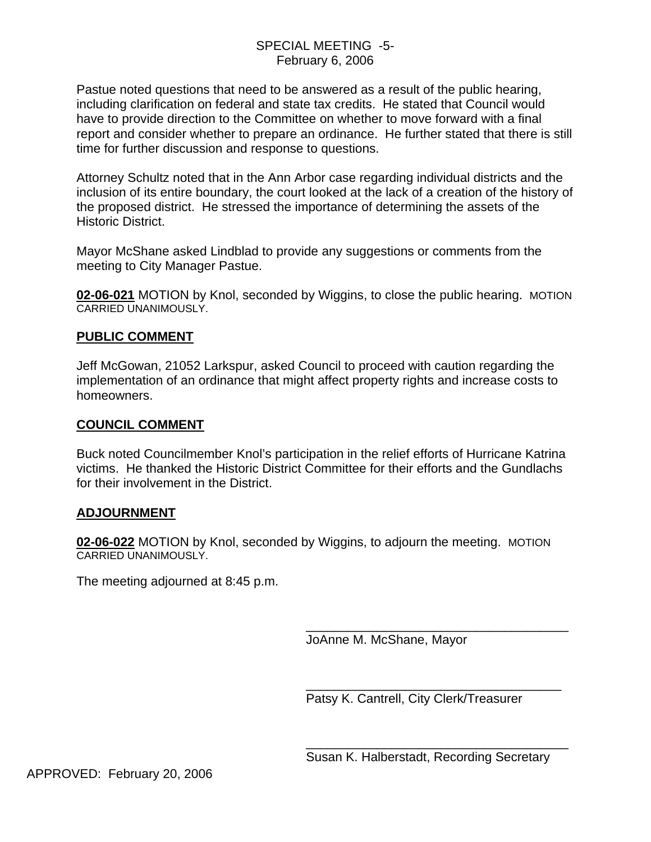## SPECIAL MEETING -5- February 6, 2006

Pastue noted questions that need to be answered as a result of the public hearing, including clarification on federal and state tax credits. He stated that Council would have to provide direction to the Committee on whether to move forward with a final report and consider whether to prepare an ordinance. He further stated that there is still time for further discussion and response to questions.

Attorney Schultz noted that in the Ann Arbor case regarding individual districts and the inclusion of its entire boundary, the court looked at the lack of a creation of the history of the proposed district. He stressed the importance of determining the assets of the Historic District.

Mayor McShane asked Lindblad to provide any suggestions or comments from the meeting to City Manager Pastue.

**02-06-021** MOTION by Knol, seconded by Wiggins, to close the public hearing. MOTION CARRIED UNANIMOUSLY.

## **PUBLIC COMMENT**

Jeff McGowan, 21052 Larkspur, asked Council to proceed with caution regarding the implementation of an ordinance that might affect property rights and increase costs to homeowners.

#### **COUNCIL COMMENT**

Buck noted Councilmember Knol's participation in the relief efforts of Hurricane Katrina victims. He thanked the Historic District Committee for their efforts and the Gundlachs for their involvement in the District.

## **ADJOURNMENT**

**02-06-022** MOTION by Knol, seconded by Wiggins, to adjourn the meeting. MOTION CARRIED UNANIMOUSLY.

 $\overline{\phantom{a}}$  , which is a set of the set of the set of the set of the set of the set of the set of the set of the set of the set of the set of the set of the set of the set of the set of the set of the set of the set of th

 $\overline{\phantom{a}}$  , which is a set of the set of the set of the set of the set of the set of the set of the set of the set of the set of the set of the set of the set of the set of the set of the set of the set of the set of th

The meeting adjourned at 8:45 p.m.

JoAnne M. McShane, Mayor

Patsy K. Cantrell, City Clerk/Treasurer

Susan K. Halberstadt, Recording Secretary

\_\_\_\_\_\_\_\_\_\_\_\_\_\_\_\_\_\_\_\_\_\_\_\_\_\_\_\_\_\_\_\_\_\_\_\_